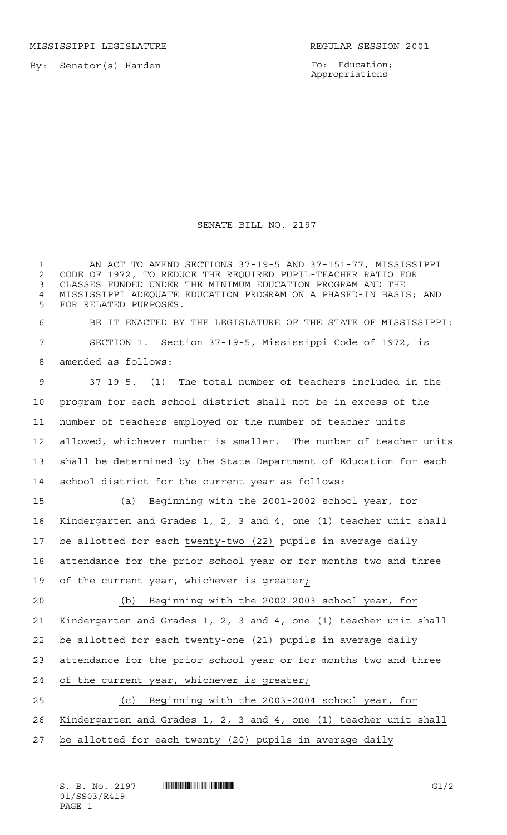MISSISSIPPI LEGISLATURE **REGULAR SESSION 2001** 

By: Senator(s) Harden

To: Education; Appropriations

## SENATE BILL NO. 2197

1 AN ACT TO AMEND SECTIONS 37-19-5 AND 37-151-77, MISSISSIPPI 2 CODE OF 1972, TO REDUCE THE REQUIRED PUPIL-TEACHER RATIO FOR<br>3 CLASSES FUNDED UNDER THE MINIMUM EDUCATION PROGRAM AND THE CLASSES FUNDED UNDER THE MINIMUM EDUCATION PROGRAM AND THE 4 MISSISSIPPI ADEQUATE EDUCATION PROGRAM ON A PHASED-IN BASIS; AND<br>5 FOR RELATED PURPOSES FOR RELATED PURPOSES. BE IT ENACTED BY THE LEGISLATURE OF THE STATE OF MISSISSIPPI: SECTION 1. Section 37-19-5, Mississippi Code of 1972, is amended as follows: 37-19-5. (1) The total number of teachers included in the program for each school district shall not be in excess of the number of teachers employed or the number of teacher units allowed, whichever number is smaller. The number of teacher units shall be determined by the State Department of Education for each school district for the current year as follows: (a) Beginning with the 2001-2002 school year, for Kindergarten and Grades 1, 2, 3 and 4, one (1) teacher unit shall be allotted for each twenty-two (22) pupils in average daily attendance for the prior school year or for months two and three 19 of the current year, whichever is greater; (b) Beginning with the 2002-2003 school year, for Kindergarten and Grades 1, 2, 3 and 4, one (1) teacher unit shall be allotted for each twenty-one (21) pupils in average daily attendance for the prior school year or for months two and three of the current year, whichever is greater; (c) Beginning with the 2003-2004 school year, for Kindergarten and Grades 1, 2, 3 and 4, one (1) teacher unit shall be allotted for each twenty (20) pupils in average daily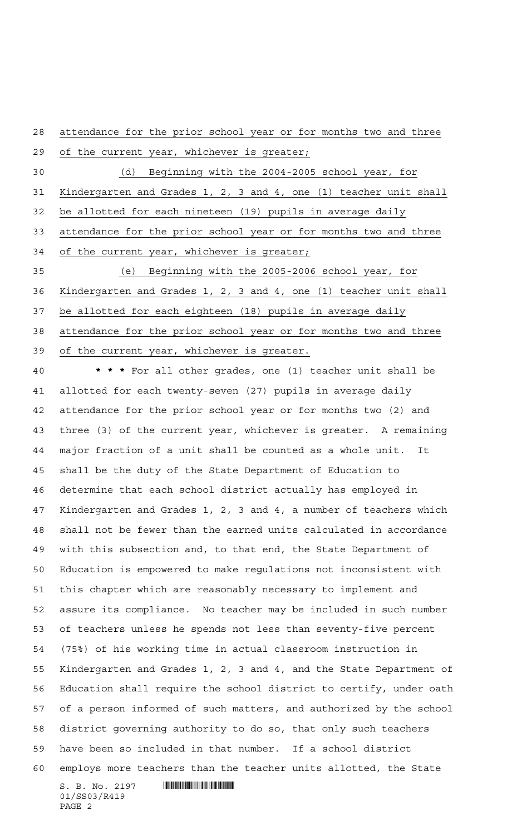attendance for the prior school year or for months two and three

 of the current year, whichever is greater; (d) Beginning with the 2004-2005 school year, for Kindergarten and Grades 1, 2, 3 and 4, one (1) teacher unit shall 32 be allotted for each nineteen (19) pupils in average daily attendance for the prior school year or for months two and three of the current year, whichever is greater; (e) Beginning with the 2005-2006 school year, for Kindergarten and Grades 1, 2, 3 and 4, one (1) teacher unit shall be allotted for each eighteen (18) pupils in average daily attendance for the prior school year or for months two and three

of the current year, whichever is greater.

 $S. B. No. 2197$  . The set of  $\blacksquare$  **\*\*\*** For all other grades, one (1) teacher unit shall be allotted for each twenty-seven (27) pupils in average daily attendance for the prior school year or for months two (2) and three (3) of the current year, whichever is greater. A remaining major fraction of a unit shall be counted as a whole unit. It shall be the duty of the State Department of Education to determine that each school district actually has employed in Kindergarten and Grades 1, 2, 3 and 4, a number of teachers which shall not be fewer than the earned units calculated in accordance with this subsection and, to that end, the State Department of Education is empowered to make regulations not inconsistent with this chapter which are reasonably necessary to implement and assure its compliance. No teacher may be included in such number of teachers unless he spends not less than seventy-five percent (75%) of his working time in actual classroom instruction in Kindergarten and Grades 1, 2, 3 and 4, and the State Department of Education shall require the school district to certify, under oath of a person informed of such matters, and authorized by the school district governing authority to do so, that only such teachers have been so included in that number. If a school district employs more teachers than the teacher units allotted, the State

01/SS03/R419 PAGE 2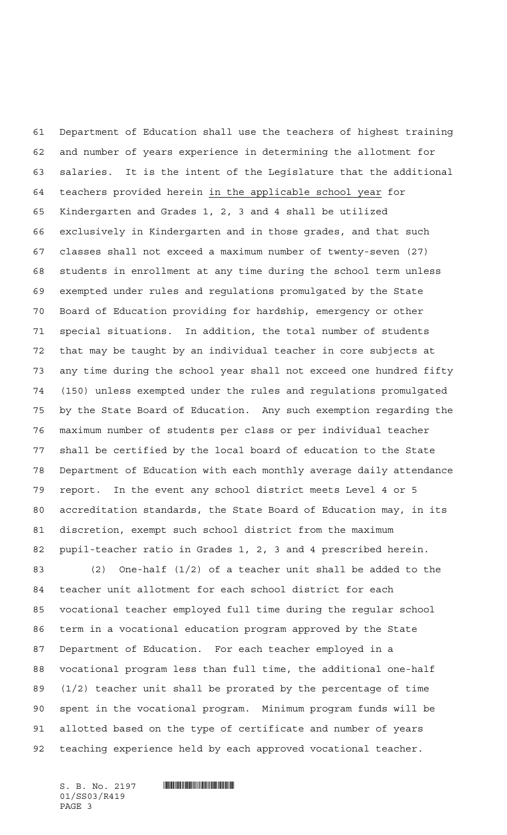Department of Education shall use the teachers of highest training and number of years experience in determining the allotment for salaries. It is the intent of the Legislature that the additional teachers provided herein in the applicable school year for Kindergarten and Grades 1, 2, 3 and 4 shall be utilized exclusively in Kindergarten and in those grades, and that such classes shall not exceed a maximum number of twenty-seven (27) students in enrollment at any time during the school term unless exempted under rules and regulations promulgated by the State Board of Education providing for hardship, emergency or other special situations. In addition, the total number of students that may be taught by an individual teacher in core subjects at any time during the school year shall not exceed one hundred fifty (150) unless exempted under the rules and regulations promulgated by the State Board of Education. Any such exemption regarding the maximum number of students per class or per individual teacher shall be certified by the local board of education to the State Department of Education with each monthly average daily attendance report. In the event any school district meets Level 4 or 5 accreditation standards, the State Board of Education may, in its discretion, exempt such school district from the maximum pupil-teacher ratio in Grades 1, 2, 3 and 4 prescribed herein. (2) One-half (1/2) of a teacher unit shall be added to the teacher unit allotment for each school district for each

 vocational teacher employed full time during the regular school term in a vocational education program approved by the State Department of Education. For each teacher employed in a vocational program less than full time, the additional one-half (1/2) teacher unit shall be prorated by the percentage of time spent in the vocational program. Minimum program funds will be allotted based on the type of certificate and number of years teaching experience held by each approved vocational teacher.

01/SS03/R419 PAGE 3

 $S.$  B. No. 2197  $\blacksquare$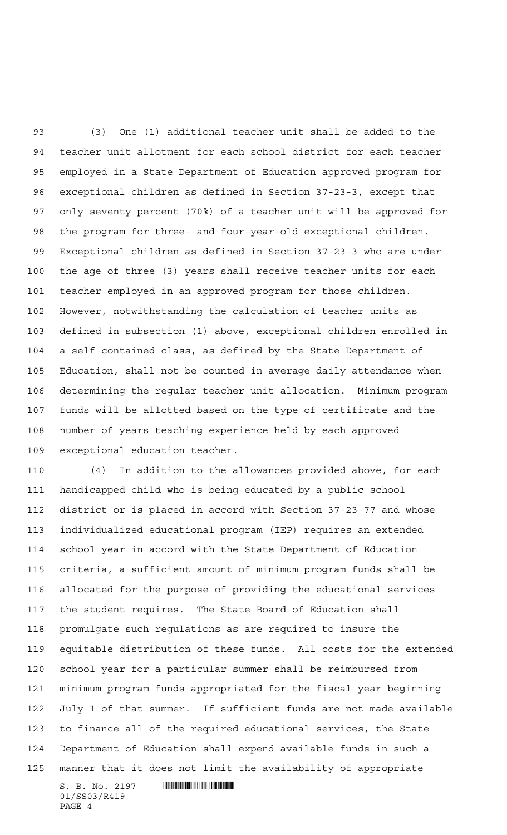(3) One (1) additional teacher unit shall be added to the teacher unit allotment for each school district for each teacher employed in a State Department of Education approved program for exceptional children as defined in Section 37-23-3, except that only seventy percent (70%) of a teacher unit will be approved for the program for three- and four-year-old exceptional children. Exceptional children as defined in Section 37-23-3 who are under the age of three (3) years shall receive teacher units for each teacher employed in an approved program for those children. However, notwithstanding the calculation of teacher units as defined in subsection (1) above, exceptional children enrolled in a self-contained class, as defined by the State Department of Education, shall not be counted in average daily attendance when determining the regular teacher unit allocation. Minimum program funds will be allotted based on the type of certificate and the number of years teaching experience held by each approved exceptional education teacher.

 (4) In addition to the allowances provided above, for each handicapped child who is being educated by a public school district or is placed in accord with Section 37-23-77 and whose individualized educational program (IEP) requires an extended school year in accord with the State Department of Education criteria, a sufficient amount of minimum program funds shall be allocated for the purpose of providing the educational services the student requires. The State Board of Education shall promulgate such regulations as are required to insure the equitable distribution of these funds. All costs for the extended school year for a particular summer shall be reimbursed from minimum program funds appropriated for the fiscal year beginning July 1 of that summer. If sufficient funds are not made available to finance all of the required educational services, the State Department of Education shall expend available funds in such a manner that it does not limit the availability of appropriate

 $S.$  B. No. 2197 **IN AND AND AN AND AN ANGLE OF A START OF A** 01/SS03/R419 PAGE 4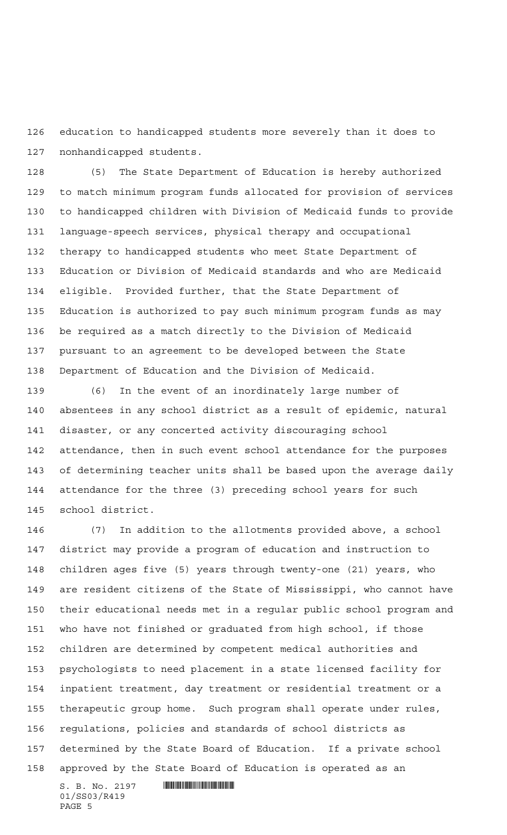education to handicapped students more severely than it does to nonhandicapped students.

 (5) The State Department of Education is hereby authorized to match minimum program funds allocated for provision of services to handicapped children with Division of Medicaid funds to provide language-speech services, physical therapy and occupational therapy to handicapped students who meet State Department of Education or Division of Medicaid standards and who are Medicaid eligible. Provided further, that the State Department of Education is authorized to pay such minimum program funds as may be required as a match directly to the Division of Medicaid pursuant to an agreement to be developed between the State Department of Education and the Division of Medicaid.

 (6) In the event of an inordinately large number of absentees in any school district as a result of epidemic, natural disaster, or any concerted activity discouraging school attendance, then in such event school attendance for the purposes of determining teacher units shall be based upon the average daily attendance for the three (3) preceding school years for such school district.

 (7) In addition to the allotments provided above, a school district may provide a program of education and instruction to children ages five (5) years through twenty-one (21) years, who are resident citizens of the State of Mississippi, who cannot have their educational needs met in a regular public school program and who have not finished or graduated from high school, if those children are determined by competent medical authorities and psychologists to need placement in a state licensed facility for inpatient treatment, day treatment or residential treatment or a therapeutic group home. Such program shall operate under rules, regulations, policies and standards of school districts as determined by the State Board of Education. If a private school approved by the State Board of Education is operated as an

 $S. B. No. 2197$  . So  $R_1$ 01/SS03/R419 PAGE 5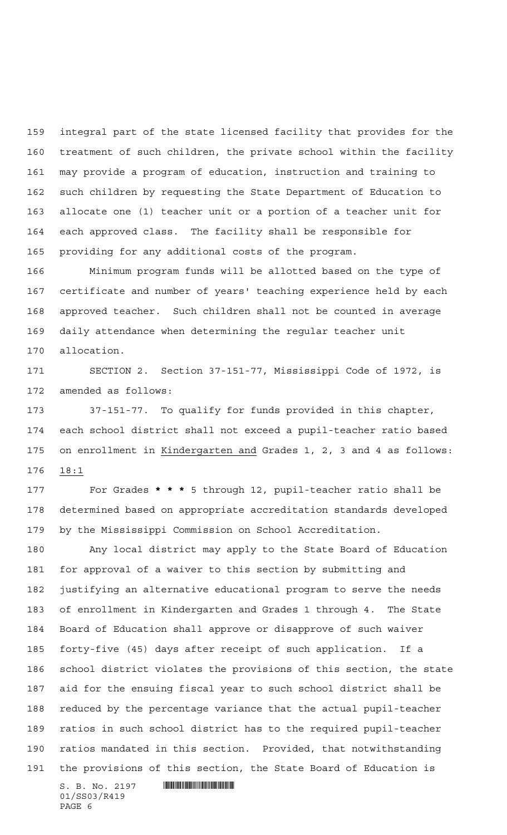integral part of the state licensed facility that provides for the treatment of such children, the private school within the facility may provide a program of education, instruction and training to such children by requesting the State Department of Education to allocate one (1) teacher unit or a portion of a teacher unit for each approved class. The facility shall be responsible for providing for any additional costs of the program.

 Minimum program funds will be allotted based on the type of certificate and number of years' teaching experience held by each approved teacher. Such children shall not be counted in average daily attendance when determining the regular teacher unit allocation.

 SECTION 2. Section 37-151-77, Mississippi Code of 1972, is amended as follows:

 37-151-77. To qualify for funds provided in this chapter, each school district shall not exceed a pupil-teacher ratio based on enrollment in Kindergarten and Grades 1, 2, 3 and 4 as follows: 18:1

 For Grades **\*\*\*** 5 through 12, pupil-teacher ratio shall be determined based on appropriate accreditation standards developed by the Mississippi Commission on School Accreditation.

 Any local district may apply to the State Board of Education for approval of a waiver to this section by submitting and justifying an alternative educational program to serve the needs of enrollment in Kindergarten and Grades 1 through 4. The State Board of Education shall approve or disapprove of such waiver forty-five (45) days after receipt of such application. If a school district violates the provisions of this section, the state aid for the ensuing fiscal year to such school district shall be reduced by the percentage variance that the actual pupil-teacher ratios in such school district has to the required pupil-teacher ratios mandated in this section. Provided, that notwithstanding the provisions of this section, the State Board of Education is

 $S. B. No. 2197$  . So  $R_1$ 01/SS03/R419 PAGE 6